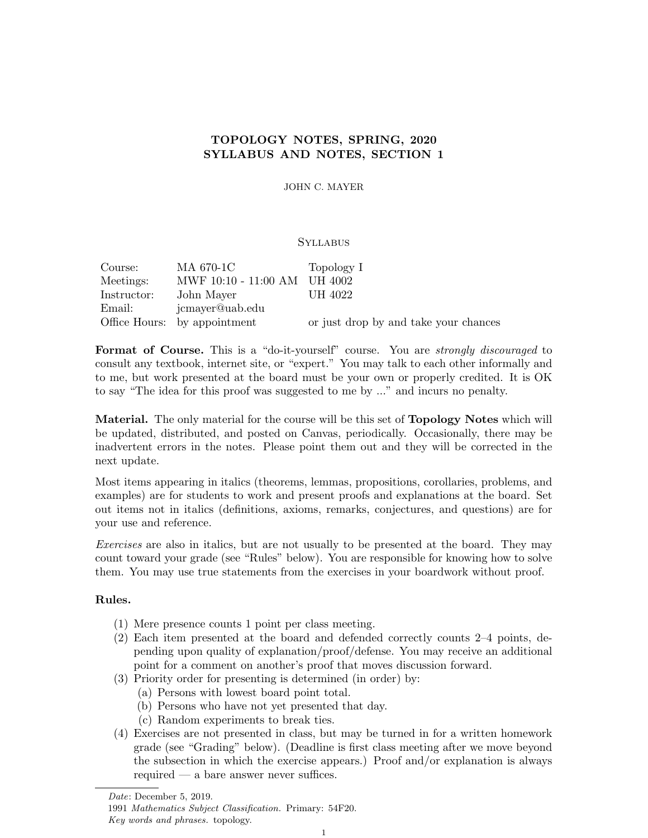# TOPOLOGY NOTES, SPRING, 2020 SYLLABUS AND NOTES, SECTION 1

JOHN C. MAYER

#### **SYLLABUS**

| Course:     | MA 670-1C                    | Topology I                            |
|-------------|------------------------------|---------------------------------------|
| Meetings:   | MWF 10:10 - 11:00 AM UH 4002 |                                       |
| Instructor: | John Mayer                   | UH 4022                               |
| Email:      | jcmayer@uab.edu              |                                       |
|             | Office Hours: by appointment | or just drop by and take your chances |

Format of Course. This is a "do-it-yourself" course. You are *strongly discouraged* to consult any textbook, internet site, or "expert." You may talk to each other informally and to me, but work presented at the board must be your own or properly credited. It is OK to say "The idea for this proof was suggested to me by ..." and incurs no penalty.

Material. The only material for the course will be this set of Topology Notes which will be updated, distributed, and posted on Canvas, periodically. Occasionally, there may be inadvertent errors in the notes. Please point them out and they will be corrected in the next update.

Most items appearing in italics (theorems, lemmas, propositions, corollaries, problems, and examples) are for students to work and present proofs and explanations at the board. Set out items not in italics (definitions, axioms, remarks, conjectures, and questions) are for your use and reference.

Exercises are also in italics, but are not usually to be presented at the board. They may count toward your grade (see "Rules" below). You are responsible for knowing how to solve them. You may use true statements from the exercises in your boardwork without proof.

### Rules.

- (1) Mere presence counts 1 point per class meeting.
- (2) Each item presented at the board and defended correctly counts 2–4 points, depending upon quality of explanation/proof/defense. You may receive an additional point for a comment on another's proof that moves discussion forward.
- (3) Priority order for presenting is determined (in order) by:
	- (a) Persons with lowest board point total.
	- (b) Persons who have not yet presented that day.
	- (c) Random experiments to break ties.
- (4) Exercises are not presented in class, but may be turned in for a written homework grade (see "Grading" below). (Deadline is first class meeting after we move beyond the subsection in which the exercise appears.) Proof and/or explanation is always required — a bare answer never suffices.

Date: December 5, 2019.

<sup>1991</sup> Mathematics Subject Classification. Primary: 54F20. Key words and phrases. topology.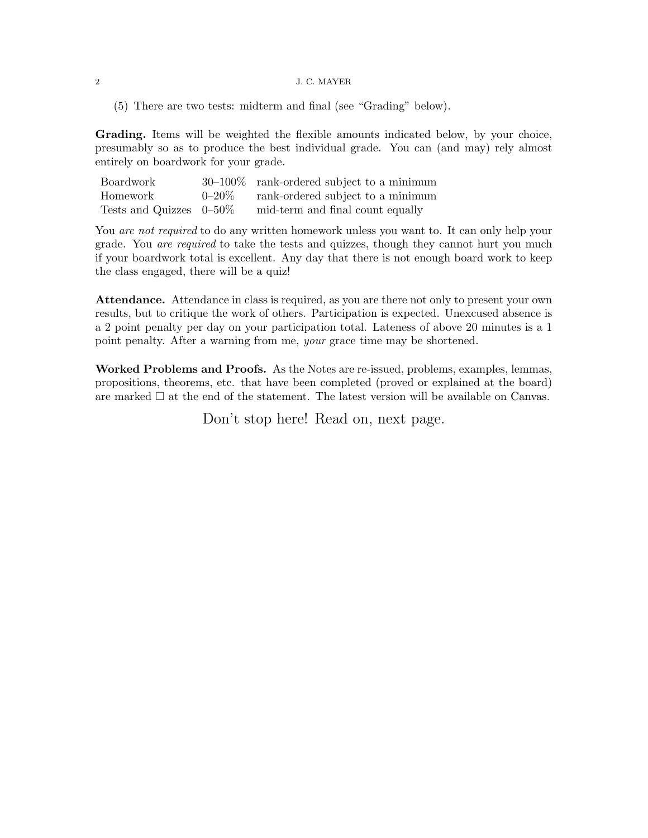#### 2 J. C. MAYER

(5) There are two tests: midterm and final (see "Grading" below).

Grading. Items will be weighted the flexible amounts indicated below, by your choice, presumably so as to produce the best individual grade. You can (and may) rely almost entirely on boardwork for your grade.

| Boardwork                  | $30-100\%$ rank-ordered subject to a minimum |
|----------------------------|----------------------------------------------|
| Homework                   | $0-20\%$ rank-ordered subject to a minimum   |
| Tests and Quizzes $0-50\%$ | mid-term and final count equally             |

You *are not required* to do any written homework unless you want to. It can only help your grade. You are required to take the tests and quizzes, though they cannot hurt you much if your boardwork total is excellent. Any day that there is not enough board work to keep the class engaged, there will be a quiz!

Attendance. Attendance in class is required, as you are there not only to present your own results, but to critique the work of others. Participation is expected. Unexcused absence is a 2 point penalty per day on your participation total. Lateness of above 20 minutes is a 1 point penalty. After a warning from me, your grace time may be shortened.

Worked Problems and Proofs. As the Notes are re-issued, problems, examples, lemmas, propositions, theorems, etc. that have been completed (proved or explained at the board) are marked  $\Box$  at the end of the statement. The latest version will be available on Canvas.

Don't stop here! Read on, next page.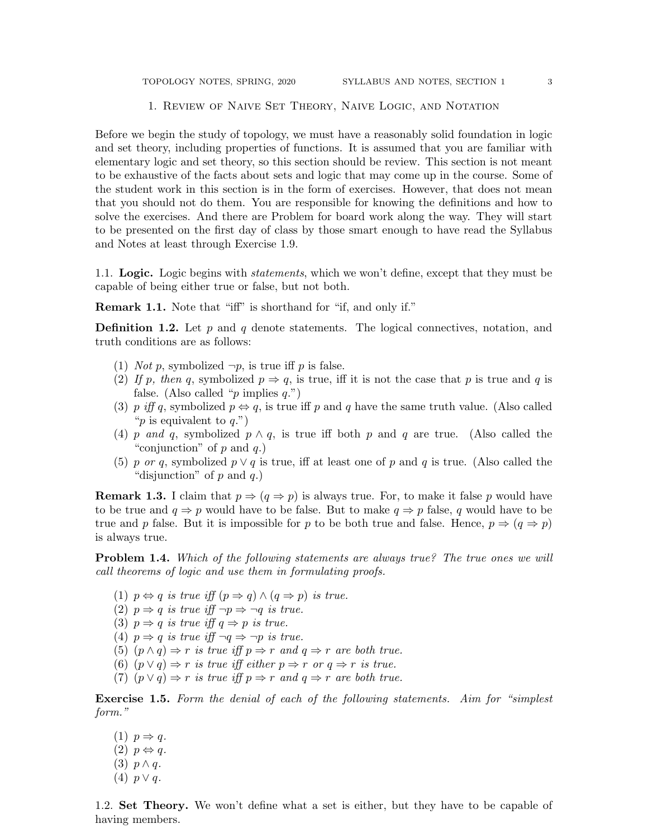#### 1. Review of Naive Set Theory, Naive Logic, and Notation

Before we begin the study of topology, we must have a reasonably solid foundation in logic and set theory, including properties of functions. It is assumed that you are familiar with elementary logic and set theory, so this section should be review. This section is not meant to be exhaustive of the facts about sets and logic that may come up in the course. Some of the student work in this section is in the form of exercises. However, that does not mean that you should not do them. You are responsible for knowing the definitions and how to solve the exercises. And there are Problem for board work along the way. They will start to be presented on the first day of class by those smart enough to have read the Syllabus and Notes at least through Exercise 1.9.

1.1. Logic. Logic begins with *statements*, which we won't define, except that they must be capable of being either true or false, but not both.

Remark 1.1. Note that "iff" is shorthand for "if, and only if."

**Definition 1.2.** Let  $p$  and  $q$  denote statements. The logical connectives, notation, and truth conditions are as follows:

- (1) *Not p*, symbolized  $\neg p$ , is true iff *p* is false.
- (2) If p, then q, symbolized  $p \Rightarrow q$ , is true, iff it is not the case that p is true and q is false. (Also called "p implies  $q$ .")
- (3) p iff q, symbolized  $p \Leftrightarrow q$ , is true iff p and q have the same truth value. (Also called "p is equivalent to  $q$ .")
- (4) p and q, symbolized  $p \wedge q$ , is true iff both p and q are true. (Also called the "conjunction" of  $p$  and  $q$ .)
- (5) p or q, symbolized  $p \vee q$  is true, iff at least one of p and q is true. (Also called the "disjunction" of  $p$  and  $q$ .)

**Remark 1.3.** I claim that  $p \Rightarrow (q \Rightarrow p)$  is always true. For, to make it false p would have to be true and  $q \Rightarrow p$  would have to be false. But to make  $q \Rightarrow p$  false, q would have to be true and p false. But it is impossible for p to be both true and false. Hence,  $p \Rightarrow (q \Rightarrow p)$ is always true.

**Problem 1.4.** Which of the following statements are always true? The true ones we will call theorems of logic and use them in formulating proofs.

- (1)  $p \Leftrightarrow q$  is true iff  $(p \Rightarrow q) \wedge (q \Rightarrow p)$  is true.
- (2)  $p \Rightarrow q$  is true iff  $\neg p \Rightarrow \neg q$  is true.
- (3)  $p \Rightarrow q$  is true iff  $q \Rightarrow p$  is true.
- (4)  $p \Rightarrow q$  is true if  $\neg q \Rightarrow \neg p$  is true.
- (5)  $(p \wedge q) \Rightarrow r$  is true iff  $p \Rightarrow r$  and  $q \Rightarrow r$  are both true.
- (6)  $(p \vee q) \Rightarrow r$  is true iff either  $p \Rightarrow r$  or  $q \Rightarrow r$  is true.
- (7)  $(p \vee q) \Rightarrow r$  is true iff  $p \Rightarrow r$  and  $q \Rightarrow r$  are both true.

Exercise 1.5. Form the denial of each of the following statements. Aim for "simplest" form."

(1)  $p \Rightarrow q$ .  $(2)$   $p \Leftrightarrow q$ . (3)  $p \wedge q$ . (4)  $p \vee q$ .

1.2. Set Theory. We won't define what a set is either, but they have to be capable of having members.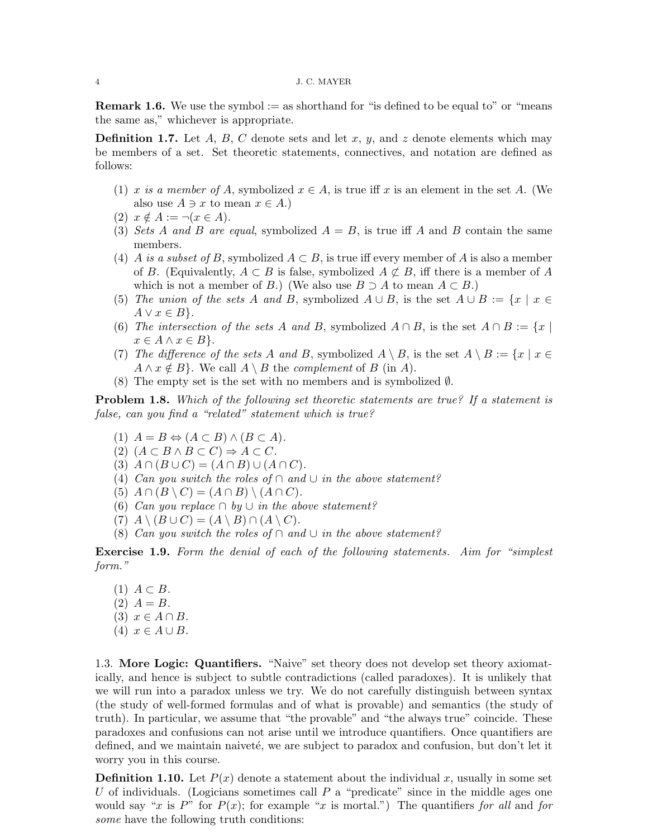**Remark 1.6.** We use the symbol  $:=$  as shorthand for "is defined to be equal to" or "means" the same as," whichever is appropriate.

**Definition 1.7.** Let A, B, C denote sets and let x, y, and z denote elements which may be members of a set. Set theoretic statements, connectives, and notation are defined as follows:

- (1) x is a member of A, symbolized  $x \in A$ , is true iff x is an element in the set A. (We also use  $A \ni x$  to mean  $x \in A$ .)
- (2)  $x \notin A := \neg(x \in A).$
- (3) Sets A and B are equal, symbolized  $A = B$ , is true iff A and B contain the same members.
- (4) A is a subset of B, symbolized  $A \subset B$ , is true iff every member of A is also a member of B. (Equivalently,  $A \subset B$  is false, symbolized  $A \not\subset B$ , iff there is a member of A which is not a member of B.) (We also use  $B \supseteq A$  to mean  $A \subset B$ .)
- (5) The union of the sets A and B, symbolized  $A \cup B$ , is the set  $A \cup B := \{x \mid x \in$  $A \vee x \in B$ .
- (6) The intersection of the sets A and B, symbolized  $A \cap B$ , is the set  $A \cap B := \{x \mid$  $x \in A \wedge x \in B$ .
- (7) The difference of the sets A and B, symbolized  $A \setminus B$ , is the set  $A \setminus B := \{x \mid x \in$  $A \wedge x \notin B$ . We call  $A \setminus B$  the *complement* of B (in A).
- (8) The empty set is the set with no members and is symbolized  $\emptyset$ .

**Problem 1.8.** Which of the following set theoretic statements are true? If a statement is false, can you find a "related" statement which is true?

- (1)  $A = B \Leftrightarrow (A \subset B) \wedge (B \subset A).$
- (2)  $(A \subset B \land B \subset C) \Rightarrow A \subset C$ .
- (3)  $A \cap (B \cup C) = (A \cap B) \cup (A \cap C)$ .
- (4) Can you switch the roles of  $\cap$  and  $\cup$  in the above statement?
- (5)  $A \cap (B \setminus C) = (A \cap B) \setminus (A \cap C)$ .
- (6) Can you replace  $\cap$  by  $\cup$  in the above statement?
- (7)  $A \setminus (B \cup C) = (A \setminus B) \cap (A \setminus C).$
- (8) Can you switch the roles of ∩ and  $\cup$  in the above statement?

Exercise 1.9. Form the denial of each of the following statements. Aim for "simplest" form."

 $(1)$   $A \subset B$ .  $(2)$   $A = B$ . (3)  $x \in A \cap B$ . (4)  $x \in A \cup B$ .

1.3. More Logic: Quantifiers. "Naive" set theory does not develop set theory axiomatically, and hence is subject to subtle contradictions (called paradoxes). It is unlikely that we will run into a paradox unless we try. We do not carefully distinguish between syntax (the study of well-formed formulas and of what is provable) and semantics (the study of truth). In particular, we assume that "the provable" and "the always true" coincide. These paradoxes and confusions can not arise until we introduce quantifiers. Once quantifiers are defined, and we maintain naiveté, we are subject to paradox and confusion, but don't let it worry you in this course.

**Definition 1.10.** Let  $P(x)$  denote a statement about the individual x, usually in some set U of individuals. (Logicians sometimes call  $P$  a "predicate" since in the middle ages one would say "x is P" for  $P(x)$ ; for example "x is mortal.") The quantifiers for all and for some have the following truth conditions: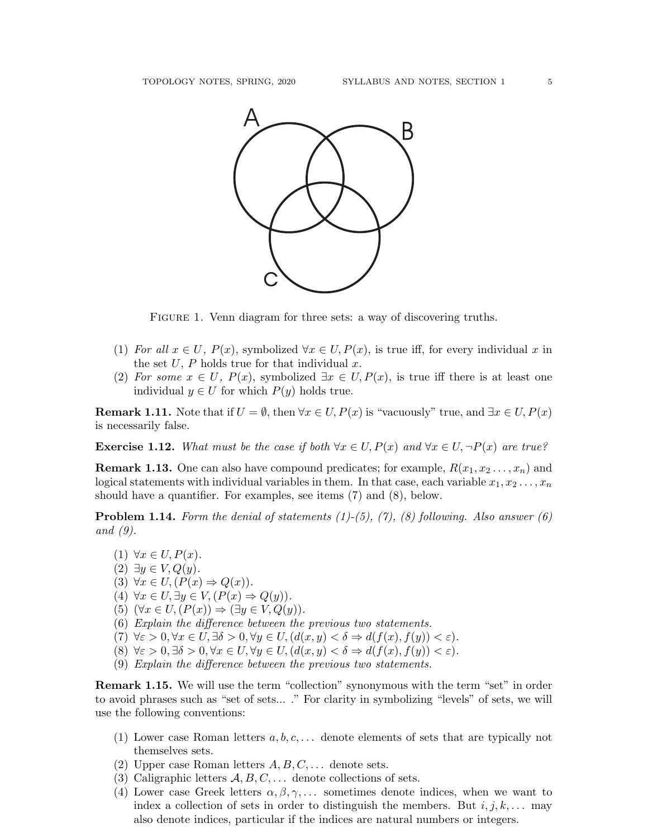

FIGURE 1. Venn diagram for three sets: a way of discovering truths.

- (1) For all  $x \in U$ ,  $P(x)$ , symbolized  $\forall x \in U$ ,  $P(x)$ , is true iff, for every individual x in the set  $U, P$  holds true for that individual x.
- (2) For some  $x \in U$ ,  $P(x)$ , symbolized  $\exists x \in U, P(x)$ , is true iff there is at least one individual  $y \in U$  for which  $P(y)$  holds true.

**Remark 1.11.** Note that if  $U = \emptyset$ , then  $\forall x \in U, P(x)$  is "vacuously" true, and  $\exists x \in U, P(x)$ is necessarily false.

**Exercise 1.12.** What must be the case if both  $\forall x \in U, P(x)$  and  $\forall x \in U, \neg P(x)$  are true?

**Remark 1.13.** One can also have compound predicates; for example,  $R(x_1, x_2, \ldots, x_n)$  and logical statements with individual variables in them. In that case, each variable  $x_1, x_2, \ldots, x_n$ should have a quantifier. For examples, see items (7) and (8), below.

**Problem 1.14.** Form the denial of statements  $(1)-(5)$ ,  $(7)$ ,  $(8)$  following. Also answer  $(6)$ and (9).

 $(1) \ \forall x \in U, P(x).$  $(2) \exists y \in V, Q(y).$ (3)  $\forall x \in U, (P(x) \Rightarrow Q(x)).$ (4)  $\forall x \in U, \exists y \in V, (P(x) \Rightarrow Q(y)).$ (5)  $(\forall x \in U, (P(x)) \Rightarrow (\exists y \in V, Q(y)).$ (6) Explain the difference between the previous two statements. (7)  $\forall \varepsilon > 0, \forall x \in U, \exists \delta > 0, \forall y \in U, (d(x, y) < \delta \Rightarrow d(f(x), f(y)) < \varepsilon).$ (8)  $\forall \varepsilon > 0, \exists \delta > 0, \forall x \in U, \forall y \in U, (d(x, y) < \delta \Rightarrow d(f(x), f(y)) < \varepsilon).$ (9) Explain the difference between the previous two statements.

**Remark 1.15.** We will use the term "collection" synonymous with the term "set" in order to avoid phrases such as "set of sets... ." For clarity in symbolizing "levels" of sets, we will use the following conventions:

- (1) Lower case Roman letters  $a, b, c, \ldots$  denote elements of sets that are typically not themselves sets.
- (2) Upper case Roman letters  $A, B, C, \ldots$  denote sets.
- (3) Caligraphic letters  $A, B, C, \ldots$  denote collections of sets.
- (4) Lower case Greek letters  $\alpha, \beta, \gamma, \ldots$  sometimes denote indices, when we want to index a collection of sets in order to distinguish the members. But  $i, j, k, \ldots$  may also denote indices, particular if the indices are natural numbers or integers.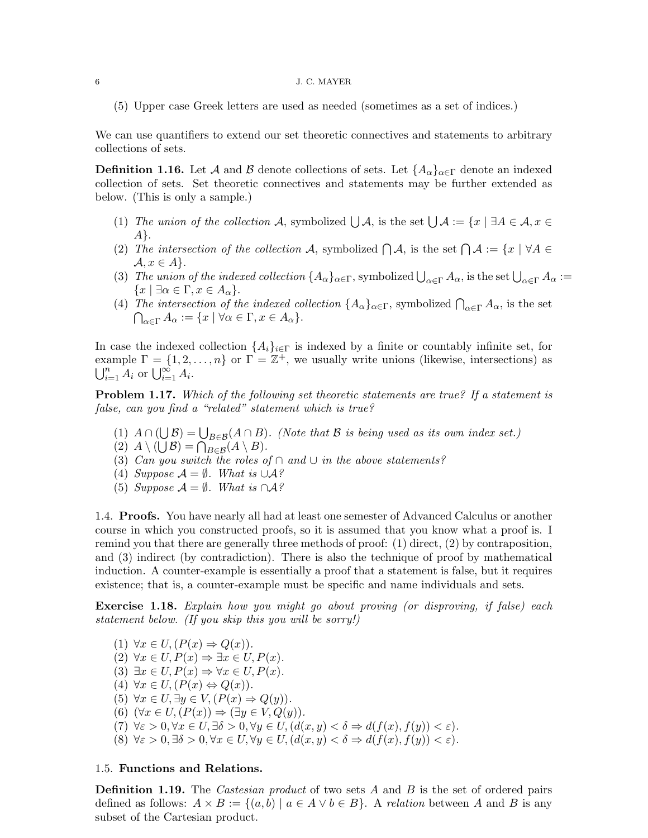#### $\,$  6  $\,$  J. C. MAYER  $\,$

(5) Upper case Greek letters are used as needed (sometimes as a set of indices.)

We can use quantifiers to extend our set theoretic connectives and statements to arbitrary collections of sets.

**Definition 1.16.** Let A and B denote collections of sets. Let  $\{A_{\alpha}\}_{{\alpha}\in\Gamma}$  denote an indexed collection of sets. Set theoretic connectives and statements may be further extended as below. (This is only a sample.)

- (1) The union of the collection A, symbolized  $\bigcup A$ , is the set  $\bigcup A := \{x \mid \exists A \in A, x \in A\}$ A}.
- (2) The intersection of the collection A, symbolized  $\bigcap A$ , is the set  $\bigcap A := \{x \mid \forall A \in$  $\mathcal{A}, x \in A$ .
- (3) The union of the indexed collection  $\{A_{\alpha}\}_{{\alpha}\in {\Gamma}}$ , symbolized  $\bigcup_{{\alpha}\in {\Gamma}} A_{\alpha}$ , is the set  $\bigcup_{{\alpha}\in {\Gamma}} A_{\alpha}$ :=  $\{x \mid \exists \alpha \in \Gamma, x \in A_{\alpha}\}.$
- (4) The intersection of the indexed collection  $\{A_{\alpha}\}_{{\alpha}\in {\Gamma}}$ , symbolized  $\bigcap_{{\alpha}\in {\Gamma}} A_{\alpha}$ , is the set  $\bigcap_{\alpha \in \Gamma} A_{\alpha} := \{x \mid \forall \alpha \in \Gamma, x \in A_{\alpha}\}.$

In case the indexed collection  $\{A_i\}_{i\in\Gamma}$  is indexed by a finite or countably infinite set, for example  $\Gamma = \{1, 2, ..., n\}$  or  $\Gamma = \mathbb{Z}^+$ , we usually write unions (likewise, intersections) as  $\bigcup_{i=1}^n A_i$  or  $\bigcup_{i=1}^\infty A_i$ .

**Problem 1.17.** Which of the following set theoretic statements are true? If a statement is false, can you find a "related" statement which is true?

- (1)  $A \cap (\bigcup \mathcal{B}) = \bigcup_{B \in \mathcal{B}} (A \cap B)$ . (Note that  $\mathcal B$  is being used as its own index set.)
- (2)  $A \setminus (\bigcup \mathcal{B}) = \bigcap_{B \in \mathcal{B}} (A \setminus B).$
- (3) Can you switch the roles of  $\cap$  and  $\cup$  in the above statements?
- (4) Suppose  $\mathcal{A} = \emptyset$ . What is  $\cup \mathcal{A}$ ?
- (5) Suppose  $\mathcal{A} = \emptyset$ . What is ∩ $\mathcal{A}$ ?

1.4. Proofs. You have nearly all had at least one semester of Advanced Calculus or another course in which you constructed proofs, so it is assumed that you know what a proof is. I remind you that there are generally three methods of proof: (1) direct, (2) by contraposition, and (3) indirect (by contradiction). There is also the technique of proof by mathematical induction. A counter-example is essentially a proof that a statement is false, but it requires existence; that is, a counter-example must be specific and name individuals and sets.

Exercise 1.18. Explain how you might go about proving (or disproving, if false) each statement below. (If you skip this you will be sorry!)

(1)  $\forall x \in U, (P(x) \Rightarrow Q(x)).$ (2)  $\forall x \in U, P(x) \Rightarrow \exists x \in U, P(x)$ . (3)  $\exists x \in U, P(x) \Rightarrow \forall x \in U, P(x)$ . (4)  $\forall x \in U, (P(x) \Leftrightarrow Q(x)).$ (5)  $\forall x \in U, \exists y \in V, (P(x) \Rightarrow Q(y)).$ (6)  $(\forall x \in U, (P(x)) \Rightarrow (\exists y \in V, Q(y)).$ (7)  $\forall \varepsilon > 0, \forall x \in U, \exists \delta > 0, \forall y \in U, (d(x, y) < \delta \Rightarrow d(f(x), f(y)) < \varepsilon).$ 

(8)  $\forall \varepsilon > 0, \exists \delta > 0, \forall x \in U, \forall y \in U, (d(x, y) < \delta \Rightarrow d(f(x), f(y)) < \varepsilon).$ 

## 1.5. Functions and Relations.

**Definition 1.19.** The *Castesian product* of two sets A and B is the set of ordered pairs defined as follows:  $A \times B := \{(a, b) | a \in A \vee b \in B\}$ . A relation between A and B is any subset of the Cartesian product.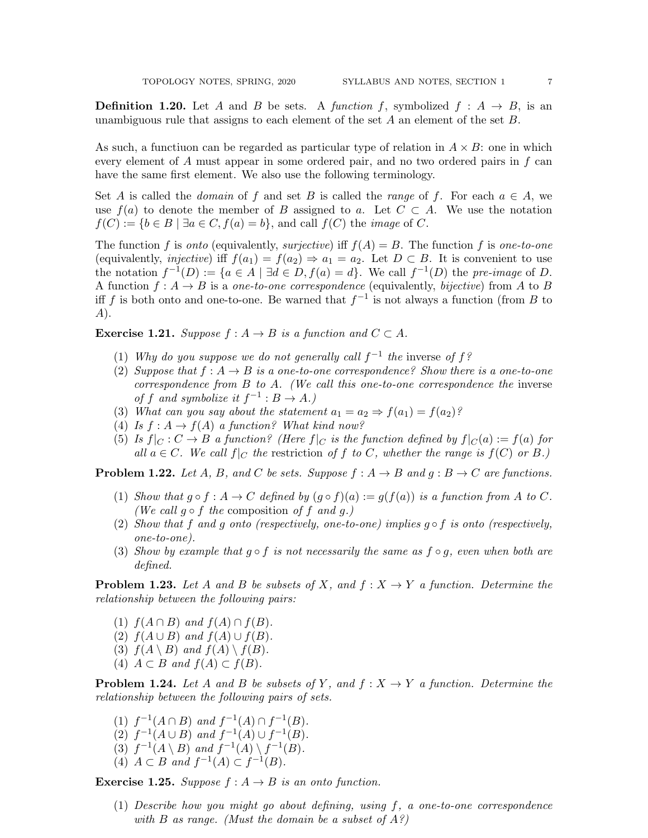**Definition 1.20.** Let A and B be sets. A function f, symbolized  $f : A \rightarrow B$ , is an unambiguous rule that assigns to each element of the set  $A$  an element of the set  $B$ .

As such, a functiuon can be regarded as particular type of relation in  $A \times B$ : one in which every element of A must appear in some ordered pair, and no two ordered pairs in f can have the same first element. We also use the following terminology.

Set A is called the *domain* of f and set B is called the *range* of f. For each  $a \in A$ , we use  $f(a)$  to denote the member of B assigned to a. Let  $C \subset A$ . We use the notation  $f(C) := \{b \in B \mid \exists a \in C, f(a) = b\}$ , and call  $f(C)$  the *image* of C.

The function f is onto (equivalently, surjective) iff  $f(A) = B$ . The function f is one-to-one (equivalently, *injective*) iff  $f(a_1) = f(a_2) \Rightarrow a_1 = a_2$ . Let  $D \subset B$ . It is convenient to use the notation  $f^{-1}(D) := \{a \in A \mid \exists d \in D, f(a) = d\}$ . We call  $f^{-1}(D)$  the pre-image of D. A function  $f: A \rightarrow B$  is a one-to-one correspondence (equivalently, bijective) from A to B iff f is both onto and one-to-one. Be warned that  $f^{-1}$  is not always a function (from B to A).

**Exercise 1.21.** Suppose  $f : A \rightarrow B$  is a function and  $C \subset A$ .

- (1) Why do you suppose we do not generally call  $f^{-1}$  the inverse of  $f$ ?
- (2) Suppose that  $f : A \rightarrow B$  is a one-to-one correspondence? Show there is a one-to-one correspondence from  $B$  to  $A$ . (We call this one-to-one correspondence the inverse of f and symbolize it  $f^{-1}: B \to A$ .)
- (3) What can you say about the statement  $a_1 = a_2 \Rightarrow f(a_1) = f(a_2)$ ?
- (4) Is  $f: A \to f(A)$  a function? What kind now?
- (5) Is  $f|_C : C \to B$  a function? (Here  $f|_C$  is the function defined by  $f|_C(a) := f(a)$  for all  $a \in C$ . We call  $f|_C$  the restriction of f to C, whether the range is  $f(C)$  or B.)

**Problem 1.22.** Let A, B, and C be sets. Suppose  $f : A \rightarrow B$  and  $g : B \rightarrow C$  are functions.

- (1) Show that  $g \circ f : A \to C$  defined by  $(g \circ f)(a) := g(f(a))$  is a function from A to C. (We call  $q \circ f$  the composition of f and q.)
- (2) Show that f and g onto (respectively, one-to-one) implies g  $\circ$  f is onto (respectively, one-to-one).
- (3) Show by example that  $g \circ f$  is not necessarily the same as  $f \circ g$ , even when both are defined.

**Problem 1.23.** Let A and B be subsets of X, and  $f: X \to Y$  a function. Determine the relationship between the following pairs:

- (1)  $f(A \cap B)$  and  $f(A) \cap f(B)$ .
- (2)  $f(A \cup B)$  and  $f(A) \cup f(B)$ .
- (3)  $f(A \setminus B)$  and  $f(A) \setminus f(B)$ .
- (4)  $A \subset B$  and  $f(A) \subset f(B)$ .

**Problem 1.24.** Let A and B be subsets of Y, and  $f: X \to Y$  a function. Determine the relationship between the following pairs of sets.

- (1)  $f^{-1}(A \cap B)$  and  $f^{-1}(A) \cap f^{-1}(B)$ . (2)  $f^{-1}(A \cup B)$  and  $f^{-1}(A) \cup f^{-1}(B)$ . (3)  $f^{-1}(A \setminus B)$  and  $f^{-1}(A) \setminus f^{-1}(B)$ .
- (4)  $A \subset B$  and  $f^{-1}(A) \subset f^{-1}(B)$ .

**Exercise 1.25.** Suppose  $f : A \rightarrow B$  is an onto function.

(1) Describe how you might go about defining, using f, a one-to-one correspondence with  $B$  as range. (Must the domain be a subset of  $A$ ?)